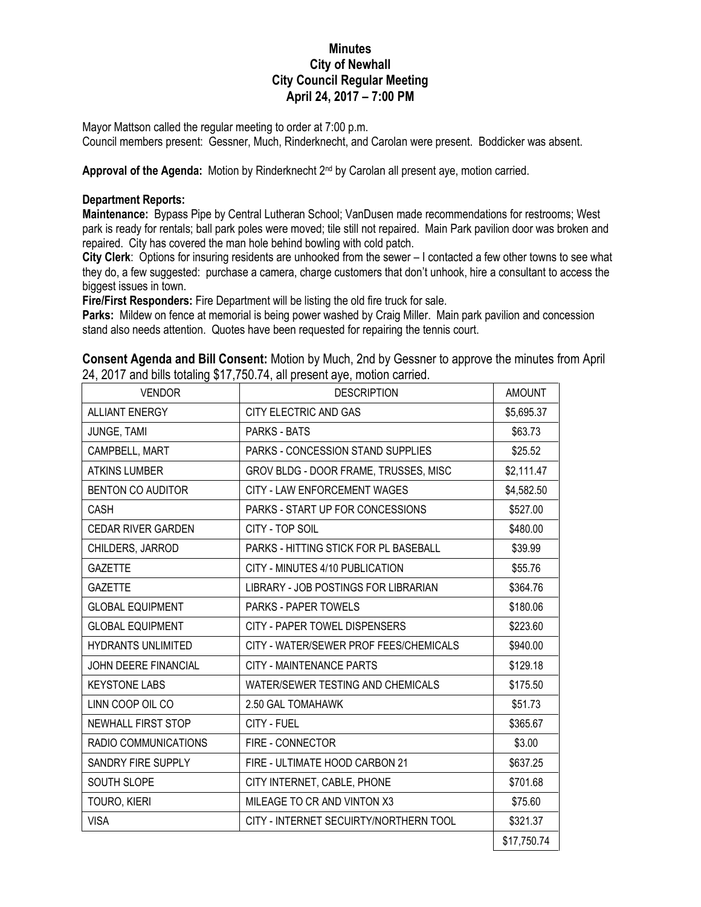## **Minutes City of Newhall City Council Regular Meeting April 24, 2017 – 7:00 PM**

Mayor Mattson called the regular meeting to order at 7:00 p.m.

Council members present: Gessner, Much, Rinderknecht, and Carolan were present. Boddicker was absent.

Approval of the Agenda: Motion by Rinderknecht 2<sup>nd</sup> by Carolan all present aye, motion carried.

## **Department Reports:**

**Maintenance:** Bypass Pipe by Central Lutheran School; VanDusen made recommendations for restrooms; West park is ready for rentals; ball park poles were moved; tile still not repaired. Main Park pavilion door was broken and repaired. City has covered the man hole behind bowling with cold patch.

**City Clerk**: Options for insuring residents are unhooked from the sewer – I contacted a few other towns to see what they do, a few suggested: purchase a camera, charge customers that don't unhook, hire a consultant to access the biggest issues in town.

**Fire/First Responders:** Fire Department will be listing the old fire truck for sale.

**Parks:** Mildew on fence at memorial is being power washed by Craig Miller. Main park pavilion and concession stand also needs attention. Quotes have been requested for repairing the tennis court.

| <b>Consent Agenda and Bill Consent:</b> Motion by Much, 2nd by Gessner to approve the minutes from April |  |  |
|----------------------------------------------------------------------------------------------------------|--|--|
| 24, 2017 and bills totaling \$17,750.74, all present aye, motion carried.                                |  |  |

| <b>VENDOR</b>               | <b>DESCRIPTION</b>                       | <b>AMOUNT</b> |
|-----------------------------|------------------------------------------|---------------|
| <b>ALLIANT ENERGY</b>       | CITY ELECTRIC AND GAS                    | \$5,695.37    |
| JUNGE, TAMI                 | <b>PARKS - BATS</b>                      | \$63.73       |
| CAMPBELL, MART              | <b>PARKS - CONCESSION STAND SUPPLIES</b> | \$25.52       |
| <b>ATKINS LUMBER</b>        | GROV BLDG - DOOR FRAME, TRUSSES, MISC    | \$2,111.47    |
| <b>BENTON CO AUDITOR</b>    | <b>CITY - LAW ENFORCEMENT WAGES</b>      | \$4,582.50    |
| CASH                        | PARKS - START UP FOR CONCESSIONS         | \$527.00      |
| <b>CEDAR RIVER GARDEN</b>   | CITY - TOP SOIL                          | \$480.00      |
| CHILDERS, JARROD            | PARKS - HITTING STICK FOR PL BASEBALL    | \$39.99       |
| <b>GAZETTE</b>              | CITY - MINUTES 4/10 PUBLICATION          | \$55.76       |
| <b>GAZETTE</b>              | LIBRARY - JOB POSTINGS FOR LIBRARIAN     | \$364.76      |
| <b>GLOBAL EQUIPMENT</b>     | <b>PARKS - PAPER TOWELS</b>              | \$180.06      |
| <b>GLOBAL EQUIPMENT</b>     | CITY - PAPER TOWEL DISPENSERS            | \$223.60      |
| <b>HYDRANTS UNLIMITED</b>   | CITY - WATER/SEWER PROF FEES/CHEMICALS   | \$940.00      |
| <b>JOHN DEERE FINANCIAL</b> | CITY - MAINTENANCE PARTS                 | \$129.18      |
| <b>KEYSTONE LABS</b>        | WATER/SEWER TESTING AND CHEMICALS        | \$175.50      |
| LINN COOP OIL CO            | 2.50 GAL TOMAHAWK                        | \$51.73       |
| <b>NEWHALL FIRST STOP</b>   | CITY - FUEL                              | \$365.67      |
| RADIO COMMUNICATIONS        | FIRE - CONNECTOR                         | \$3.00        |
| SANDRY FIRE SUPPLY          | FIRE - ULTIMATE HOOD CARBON 21           | \$637.25      |
| SOUTH SLOPE                 | CITY INTERNET, CABLE, PHONE              | \$701.68      |
| TOURO, KIERI                | MILEAGE TO CR AND VINTON X3              | \$75.60       |
| <b>VISA</b>                 | CITY - INTERNET SECUIRTY/NORTHERN TOOL   | \$321.37      |
|                             |                                          | \$17,750.74   |